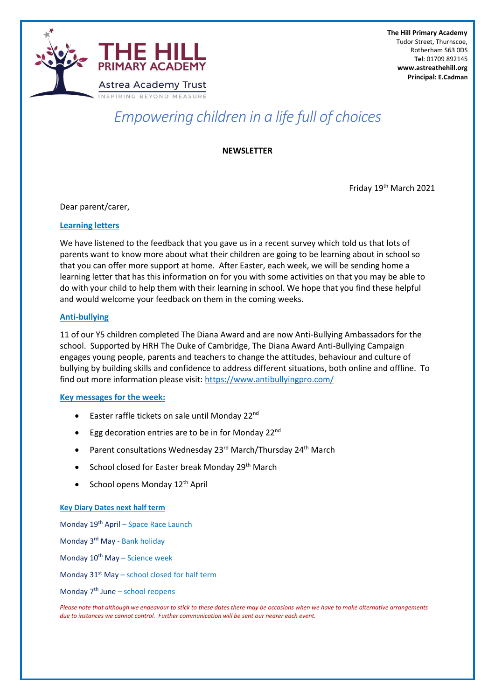

Tudor Street, Thurnscoe,

 **The Hill Primary Academy** Tudor Street, Thurnscoe, Rotherham S63 0DS **Tel**: 01709 892145 **[www.astreathehill.org](http://www.astreathehill.org/) Principal: E.Cadman**

# *Empowering children in a life full of choices*

**NEWSLETTER**

Friday 19th March 2021

Dear parent/carer,

#### **Learning letters**

We have listened to the feedback that you gave us in a recent survey which told us that lots of parents want to know more about what their children are going to be learning about in school so that you can offer more support at home. After Easter, each week, we will be sending home a learning letter that has this information on for you with some activities on that you may be able to do with your child to help them with their learning in school. We hope that you find these helpful and would welcome your feedback on them in the coming weeks.

#### **Anti-bullying**

11 of our Y5 children completed The Diana Award and are now Anti-Bullying Ambassadors for the school. Supported by HRH The Duke of Cambridge, The Diana Award Anti-Bullying Campaign engages young people, parents and teachers to change the attitudes, behaviour and culture of bullying by building skills and confidence to address different situations, both online and offline. To find out more information please visit:<https://www.antibullyingpro.com/>

## **Key messages for the week:**

- Easter raffle tickets on sale until Monday 22<sup>nd</sup>
- Egg decoration entries are to be in for Monday 22<sup>nd</sup>
- Parent consultations Wednesday 23rd March/Thursday 24<sup>th</sup> March
- School closed for Easter break Monday 29<sup>th</sup> March
- School opens Monday  $12<sup>th</sup>$  April

#### **Key Diary Dates next half term**

Monday 19th April – Space Race Launch

Monday 3rd May - Bank holiday

Monday 10<sup>th</sup> May – Science week

Monday  $31^{st}$  May – school closed for half term

Monday  $7<sup>th</sup>$  June – school reopens

*Please note that although we endeavour to stick to these dates there may be occasions when we have to make alternative arrangements due to instances we cannot control. Further communication will be sent our nearer each event.*